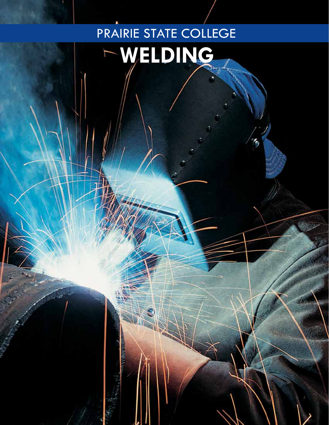# PRAIRIE STATE COLLEGE **Welding**٢

۴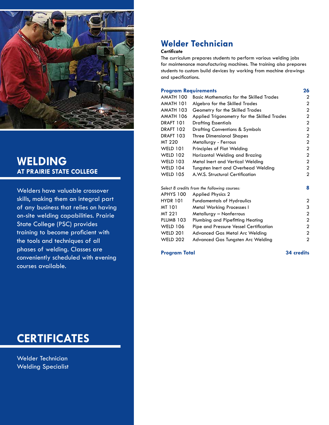

### **Welding at Prairie State College**

Welders have valuable crossover skills, making them an integral part of any business that relies on having on-site welding capabilities. Prairie State College (PSC) provides training to become proficient with the tools and techniques of all phases of welding. Classes are conveniently scheduled with evening courses available.

## **certificates**

Welder Technician Welding Specialist

### **Welder Technician**

### *Certificate*

The curriculum prepares students to perform various welding jobs for maintenance manufacturing machines. The training also prepares students to custom build devices by working from machine drawings and specifications.

### **Program Requirements 26**

| AMATH 100                                    | <b>Basic Mathematics for the Skilled Trades</b> | 2              |
|----------------------------------------------|-------------------------------------------------|----------------|
| AMATH 101                                    | Algebra for the Skilled Trades                  | $\overline{2}$ |
| AMATH 103                                    | Geometry for the Skilled Trades                 | 2              |
| AMATH 106                                    | Applied Trigonometry for the Skilled Trades     | 2              |
| <b>DRAFT 101</b>                             | <b>Drafting Essentials</b>                      | 2              |
| <b>DRAFT 102</b>                             | <b>Drafting Conventions &amp; Symbols</b>       | $\overline{2}$ |
| <b>DRAFT 103</b>                             | <b>Three Dimensional Shapes</b>                 | $\overline{2}$ |
| MT 220                                       | Metallurgy - Ferrous                            | $\overline{2}$ |
| <b>WELD 101</b>                              | Principles of Flat Welding                      | 2              |
| <b>WELD 102</b>                              | Horizontal Welding and Brazing                  | $\overline{2}$ |
| <b>WELD 103</b>                              | Metal Inert and Vertical Welding                | $\overline{2}$ |
| <b>WELD 104</b>                              | <b>Tungsten Inert and Overhead Welding</b>      | $\overline{2}$ |
| <b>WELD 105</b>                              | A.W.S. Structural Certification                 | $\overline{2}$ |
|                                              |                                                 |                |
| Select 8 credits from the following courses: |                                                 |                |
| APHYS 100                                    | <b>Applied Physics 2</b>                        |                |
| <b>HYDR 101</b>                              | <b>Fundamentals of Hydraulics</b>               | 2              |
| MT 101                                       | <b>Metal Working Processes I</b>                | 3              |
| MT 221                                       | Metallurgy - Nonferrous                         | 2              |
| PLUMB 103                                    | Plumbing and Pipefitting Heating                | $\overline{2}$ |
| <b>WELD 106</b>                              | Pipe and Pressure Vessel Certification          | 2              |
| <b>WELD 201</b>                              | <b>Advanced Gas Metal Arc Welding</b>           | 2              |
| <b>WELD 202</b>                              | Advanced Gas Tungsten Arc Welding               | 2              |
|                                              |                                                 |                |

**Program Total 34 credits**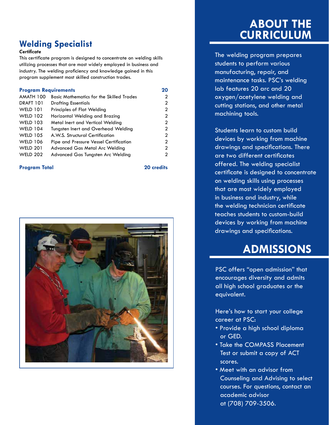### **Welding Specialist**

### *Certificate*

This certificate program is designed to concentrate on welding skills utilizing processes that are most widely employed in business and industry. The welding proficiency and knowledge gained in this program supplement most skilled construction trades.

#### **Program Requirements 20**

| AMATH 100       | <b>Basic Mathematics for the Skilled Trades</b> | 2              |
|-----------------|-------------------------------------------------|----------------|
| DRAFT 101       | <b>Drafting Essentials</b>                      | 2              |
| <b>WELD 101</b> | Principles of Flat Welding                      | 2              |
| <b>WELD 102</b> | Horizontal Welding and Brazing                  | 2              |
| <b>WELD 103</b> | Metal Inert and Vertical Welding                | $\overline{2}$ |
| <b>WELD 104</b> | Tungsten Inert and Overhead Welding             | 2              |
| <b>WELD 105</b> | A.W.S. Structural Certification                 | 2              |
| <b>WELD 106</b> | Pipe and Pressure Vessel Certification          | 2              |
| <b>WELD 201</b> | Advanced Gas Metal Arc Welding                  | 2              |
| <b>WELD 202</b> | Advanced Gas Tungsten Arc Welding               | 2              |
|                 |                                                 |                |

### **Program Total 20 credits**



## **About the Curriculum**

The welding program prepares students to perform various manufacturing, repair, and maintenance tasks. PSC's welding lab features 20 arc and 20 oxygen/acetylene welding and cutting stations, and other metal machining tools.

Students learn to custom build devices by working from machine drawings and specifications. There are two different certificates offered. The welding specialist certificate is designed to concentrate on welding skills using processes that are most widely employed in business and industry, while the welding technician certificate teaches students to custom-build devices by working from machine drawings and specifications.

## **Admissions**

PSC offers "open admission" that encourages diversity and admits all high school graduates or the equivalent.

Here's how to start your college career at PSC:

- Provide a high school diploma or GED.
- Take the COMPASS Placement Test or submit a copy of ACT scores.
- Meet with an advisor from Counseling and Advising to select courses. For questions, contact an academic advisor at (708) 709-3506.